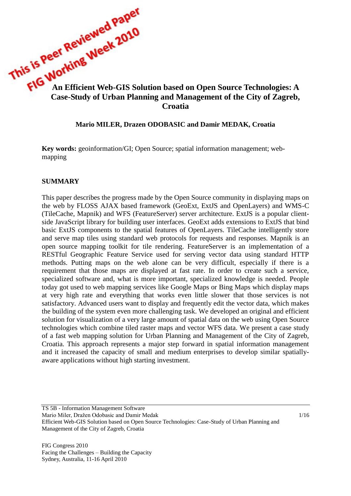# This is Pee.<br>
An Efficient Web-GIS Solution based on Open Source Technologies: A<br>
Case-Study of Urban Planning and Monography **Case-Study of Urban Planning and Management of the City of Zagreb, Croatia**

### **Mario MILER, Drazen ODOBASIC and Damir MEDAK, Croatia**

**Key words:** geoinformation/GI; Open Source; spatial information management; webmapping

### **SUMMARY**

This paper describes the progress made by the Open Source community in displaying maps on the web by FLOSS AJAX based framework (GeoExt, ExtJS and OpenLayers) and WMS-C (TileCache, Mapnik) and WFS (FeatureServer) server architecture. ExtJS is a popular clientside JavaScript library for building user interfaces. GeoExt adds extensions to ExtJS that bind basic ExtJS components to the spatial features of OpenLayers. TileCache intelligently store and serve map tiles using standard web protocols for requests and responses. Mapnik is an open source mapping toolkit for tile rendering. FeatureServer is an implementation of a RESTful Geographic Feature Service used for serving vector data using standard HTTP methods. Putting maps on the web alone can be very difficult, especially if there is a requirement that those maps are displayed at fast rate. In order to create such a service, specialized software and, what is more important, specialized knowledge is needed. People today got used to web mapping services like Google Maps or Bing Maps which display maps at very high rate and everything that works even little slower that those services is not satisfactory. Advanced users want to display and frequently edit the vector data, which makes the building of the system even more challenging task. We developed an original and efficient solution for visualization of a very large amount of spatial data on the web using Open Source technologies which combine tiled raster maps and vector WFS data. We present a case study of a fast web mapping solution for Urban Planning and Management of the City of Zagreb, Croatia. This approach represents a major step forward in spatial information management and it increased the capacity of small and medium enterprises to develop similar spatiallyaware applications without high starting investment.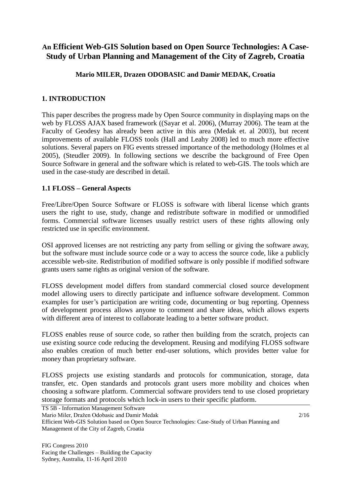# **An Efficient Web-GIS Solution based on Open Source Technologies: A Case-Study of Urban Planning and Management of the City of Zagreb, Croatia**

# **Mario MILER, Drazen ODOBASIC and Damir MEDAK, Croatia**

# **1. INTRODUCTION**

This paper describes the progress made by Open Source community in displaying maps on the web by FLOSS AJAX based framework ((Sayar et al. 2006), (Murray 2006). The team at the Faculty of Geodesy has already been active in this area (Medak et. al 2003), but recent improvements of available FLOSS tools (Hall and Leahy 2008) led to much more effective solutions. Several papers on FIG events stressed importance of the methodology (Holmes et al 2005), (Steudler 2009). In following sections we describe the background of Free Open Source Software in general and the software which is related to web-GIS. The tools which are used in the case-study are described in detail.

# **1.1 FLOSS – General Aspects**

Free/Libre/Open Source Software or FLOSS is software with liberal license which grants users the right to use, study, change and redistribute software in modified or unmodified forms. Commercial software licenses usually restrict users of these rights allowing only restricted use in specific environment.

OSI approved licenses are not restricting any party from selling or giving the software away, but the software must include source code or a way to access the source code, like a publicly accessible web-site. Redistribution of modified software is only possible if modified software grants users same rights as original version of the software.

FLOSS development model differs from standard commercial closed source development model allowing users to directly participate and influence software development. Common examples for user's participation are writing code, documenting or bug reporting. Openness of development process allows anyone to comment and share ideas, which allows experts with different area of interest to collaborate leading to a better software product.

FLOSS enables reuse of source code, so rather then building from the scratch, projects can use existing source code reducing the development. Reusing and modifying FLOSS software also enables creation of much better end-user solutions, which provides better value for money than proprietary software.

FLOSS projects use existing standards and protocols for communication, storage, data transfer, etc. Open standards and protocols grant users more mobility and choices when choosing a software platform. Commercial software providers tend to use closed proprietary storage formats and protocols which lock-in users to their specific platform.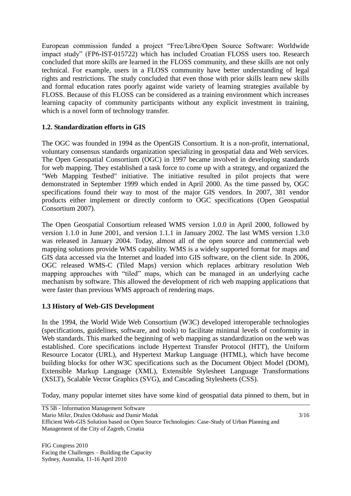European commission funded a project "Free/Libre/Open Source Software: Worldwide impact study" (FP6-IST-015722) which has included Croatian FLOSS users too. Research concluded that more skills are learned in the FLOSS community, and these skills are not only technical. For example, users in a FLOSS community have better understanding of legal rights and restrictions. The study concluded that even those with prior skills learn new skills and formal education rates poorly against wide variety of learning strategies available by FLOSS. Because of this FLOSS can be considered as a training environment which increases learning capacity of community participants without any explicit investment in training, which is a novel form of technology transfer.

# **1.2. Standardization efforts in GIS**

The OGC was founded in 1994 as the OpenGIS Consortium. It is a non-profit, international, voluntary consensus standards organization specializing in geospatial data and Web services. The Open Geospatial Consortium (OGC) in 1997 became involved in developing standards for web mapping. They established a task force to come up with a strategy, and organized the "Web Mapping Testbed" initiative. The initiative resulted in pilot projects that were demonstrated in September 1999 which ended in April 2000. As the time passed by, OGC specifications found their way to most of the major GIS vendors. In 2007, 381 vendor products either implement or directly conform to OGC specifications (Open Geospatial Consortium 2007).

The Open Geospatial Consortium released WMS version 1.0.0 in April 2000, followed by version 1.1.0 in June 2001, and version 1.1.1 in January 2002. The last WMS version 1.3.0 was released in January 2004. Today, almost all of the open source and commercial web mapping solutions provide WMS capability. WMS is a widely supported format for maps and GIS data accessed via the Internet and loaded into GIS software, on the client side. In 2006, OGC released WMS-C (Tiled Maps) version which replaces arbitrary resolution Web mapping approaches with "tiled" maps, which can be managed in an underlying cache mechanism by software. This allowed the development of rich web mapping applications that were faster than previous WMS approach of rendering maps.

# **1.3 History of Web-GIS Development**

In the 1994, the World Wide Web Consortium (W3C) developed interoperable technologies (specifications, guidelines, software, and tools) to facilitate minimal levels of conformity in Web standards. This marked the beginning of web mapping as standardization on the web was established. Core specifications include Hypertext Transfer Protocol (HTT), the Uniform Resource Locator (URL), and Hypertext Markup Language (HTML), which have become building blocks for other W3C specifications such as the Document Object Model (DOM), Extensible Markup Language (XML), Extensible Stylesheet Language Transformations (XSLT), Scalable Vector Graphics (SVG), and Cascading Stylesheets (CSS).

Today, many popular internet sites have some kind of geospatial data pinned to them, but in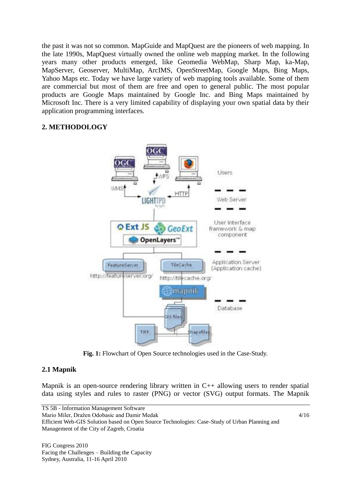the past it was not so common. MapGuide and MapQuest are the pioneers of web mapping. In the late 1990s, MapQuest virtually owned the online web mapping market. In the following years many other products emerged, like Geomedia WebMap, Sharp Map, ka-Map, MapServer, Geoserver, MultiMap, ArcIMS, OpenStreetMap, Google Maps, Bing Maps, Yahoo Maps etc. Today we have large variety of web mapping tools available. Some of them are commercial but most of them are free and open to general public. The most popular products are Google Maps maintained by Google Inc. and Bing Maps maintained by Microsoft Inc. There is a very limited capability of displaying your own spatial data by their application programming interfaces.

# **2. METHODOLOGY**



**Fig. 1:** Flowchart of Open Source technologies used in the Case-Study.

# **2.1 Mapnik**

Mapnik is an open-source rendering library written in C++ allowing users to render spatial data using styles and rules to raster (PNG) or vector (SVG) output formats. The Mapnik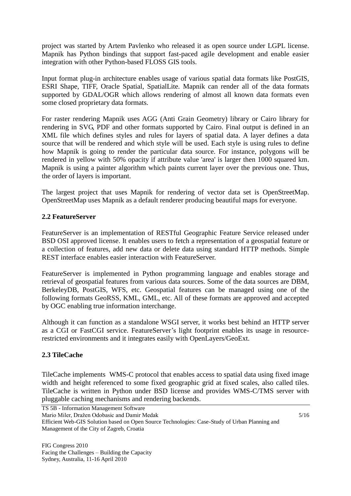project was started by Artem Pavlenko who released it as open source under LGPL license. Mapnik has Python bindings that support fast-paced agile development and enable easier integration with other Python-based FLOSS GIS tools.

Input format plug-in architecture enables usage of various spatial data formats like PostGIS, ESRI Shape, TIFF, Oracle Spatial, SpatialLite. Mapnik can render all of the data formats supported by GDAL/OGR which allows rendering of almost all known data formats even some closed proprietary data formats.

For raster rendering Mapnik uses AGG (Anti Grain Geometry) library or Cairo library for rendering in SVG, PDF and other formats supported by Cairo. Final output is defined in an XML file which defines styles and rules for layers of spatial data. A layer defines a data source that will be rendered and which style will be used. Each style is using rules to define how Mapnik is going to render the particular data source. For instance, polygons will be rendered in yellow with 50% opacity if attribute value 'area' is larger then 1000 squared km. Mapnik is using a painter algorithm which paints current layer over the previous one. Thus, the order of layers is important.

The largest project that uses Mapnik for rendering of vector data set is OpenStreetMap. OpenStreetMap uses Mapnik as a default renderer producing beautiful maps for everyone.

# **2.2 FeatureServer**

FeatureServer is an implementation of RESTful Geographic Feature Service released under BSD OSI approved license. It enables users to fetch a representation of a geospatial feature or a collection of features, add new data or delete data using standard HTTP methods. Simple REST interface enables easier interaction with FeatureServer.

FeatureServer is implemented in Python programming language and enables storage and retrieval of geospatial features from various data sources. Some of the data sources are DBM, BerkeleyDB, PostGIS, WFS, etc. Geospatial features can be managed using one of the following formats GeoRSS, KML, GML, etc. All of these formats are approved and accepted by OGC enabling true information interchange.

Although it can function as a standalone WSGI server, it works best behind an HTTP server as a CGI or FastCGI service. FeatureServer's light footprint enables its usage in resourcerestricted environments and it integrates easily with OpenLayers/GeoExt.

# **2.3 TileCache**

TileCache implements WMS-C protocol that enables access to spatial data using fixed image width and height referenced to some fixed geographic grid at fixed scales, also called tiles. TileCache is written in Python under BSD license and provides WMS-C/TMS server with pluggable caching mechanisms and rendering backends.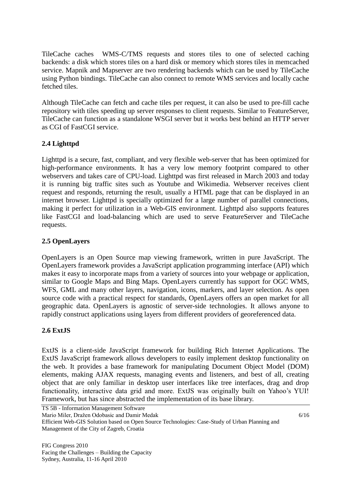TileCache caches WMS-C/TMS requests and stores tiles to one of selected caching backends: a disk which stores tiles on a hard disk or memory which stores tiles in memcached service. Mapnik and Mapserver are two rendering backends which can be used by TileCache using Python bindings. TileCache can also connect to remote WMS services and locally cache fetched tiles.

Although TileCache can fetch and cache tiles per request, it can also be used to pre-fill cache repository with tiles speeding up server responses to client requests. Similar to FeatureServer, TileCache can function as a standalone WSGI server but it works best behind an HTTP server as CGI of FastCGI service.

# **2.4 Lighttpd**

Lighttpd is a secure, fast, compliant, and very flexible web-server that has been optimized for high-performance environments. It has a very low memory footprint compared to other webservers and takes care of CPU-load. Lighttpd was first released in March 2003 and today it is running big traffic sites such as Youtube and Wikimedia. Webserver receives client request and responds, returning the result, usually a HTML page that can be displayed in an internet browser. Lighttpd is specially optimized for a large number of parallel connections, making it perfect for utilization in a Web-GIS environment. Lighttpd also supports features like FastCGI and load-balancing which are used to serve FeatureServer and TileCache requests.

# **2.5 OpenLayers**

OpenLayers is an Open Source map viewing framework, written in pure JavaScript. The OpenLayers framework provides a JavaScript application programming interface (API) which makes it easy to incorporate maps from a variety of sources into your webpage or application, similar to Google Maps and Bing Maps. OpenLayers currently has support for OGC WMS, WFS, GML and many other layers, navigation, icons, markers, and layer selection. As open source code with a practical respect for standards, OpenLayers offers an open market for all geographic data. OpenLayers is agnostic of server-side technologies. It allows anyone to rapidly construct applications using layers from different providers of georeferenced data.

# **2.6 ExtJS**

ExtJS is a client-side JavaScript framework for building Rich Internet Applications. The ExtJS JavaScript framework allows developers to easily implement desktop functionality on the web. It provides a base framework for manipulating Document Object Model (DOM) elements, making AJAX requests, managing events and listeners, and best of all, creating object that are only familiar in desktop user interfaces like tree interfaces, drag and drop functionality, interactive data grid and more. ExtJS was originally built on Yahoo's YUI! Framework, but has since abstracted the implementation of its base library.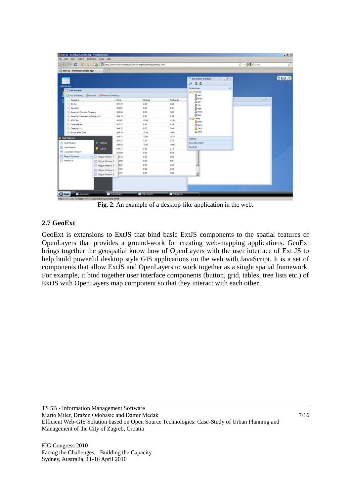| C X a D rep://www.extp.com/deploy/dev/examples/desitop/desitop.html<br>50 F |                                             |                   |         |          |                                    |         | ☆ · 图 - copi | £               |
|-----------------------------------------------------------------------------|---------------------------------------------|-------------------|---------|----------|------------------------------------|---------|--------------|-----------------|
| C ExtTop - Desktop Sample App                                               | ×                                           |                   |         |          |                                    |         |              |                 |
|                                                                             |                                             |                   |         |          | <b>Accordion Window</b>            | $= 0.8$ |              | <b>O Ext JS</b> |
| Grid Window                                                                 |                                             |                   |         |          | 1.52                               |         |              |                 |
| <b>Crid Window</b>                                                          |                                             |                   |         |          | <b>Online Users</b>                | ø       |              |                 |
|                                                                             | Add Sonething 20 Options C Renove Sonething |                   |         |          | <b>Big Frends</b><br><b>B</b> Jack |         |              |                 |
|                                                                             |                                             |                   | Change  | % Change | <b>A</b> from                      |         | $= 0.00$     |                 |
| Company<br>3n Co                                                            |                                             | Price:<br>\$71.72 | 0.02    | 000      | 盘.km                               |         |              |                 |
| $2.1$ Alcos Inc.                                                            |                                             | \$29.01           | 0.42    | 1.47     | A <sub>Tm</sub>                    |         |              |                 |
| 3 American Express Company                                                  |                                             | \$52.55           | 0.01    | 0.02     | <b>G.Non</b><br>Brod               |         |              |                 |
| 4. American International Group, Inc.                                       |                                             | \$64.13           | 0.31    | 0.49     | <b>G</b> Bus                       |         |              |                 |
| 5: AT&T Inc.                                                                |                                             | \$31.61           | $-0.48$ | $-1.54$  | al Call Fordy                      |         |              |                 |
| fi Caterpiler Inc.                                                          |                                             | \$67.27           | 0.92    | 1.39     | $\mathbf{\underline{a}}$ Kely      |         |              |                 |
| T Charoup, Inc.                                                             |                                             | \$49.37           | 0.02    | 0.04     | D. Sara<br><b>B</b> Zack           |         |              |                 |
| 8. Econ Mobil Corp.                                                         |                                             | \$68.10           | $-0.63$ | $-0.64$  | <b>B</b> John                      |         |              |                 |
|                                                                             |                                             | \$34.14           | $-0.06$ | $-0.23$  |                                    |         |              |                 |
| <b>A. Jack Slocum</b>                                                       |                                             | \$30.27           | 1.09    | 3.74     | Settings:                          |         |              |                 |
| m<br>Grid/Window                                                            | of Settros                                  | \$36.53           | $-0.03$ | $-0.08$  | Even Hore Stuff                    |         |              |                 |
| <b>ED Tel: Widow</b>                                                        | Logout                                      | \$36.77           | 0.05    | 0.13     | My Skiff                           |         |              |                 |
| Accordion Window                                                            |                                             | \$19.00           | 0.31    | $+50$    |                                    |         |              |                 |
| <b>Dogus Submeriu</b>                                                       | IF T Bogus Window 1                         | 4.72              | 0.06    | 0.09     |                                    |         |              |                 |
| Window 6                                                                    | Digut Wintow 2                              | 0.96              | 0.41    | 1.01     |                                    |         |              |                 |
|                                                                             | Dogus Window 3<br><b>Dogus Window 4</b>     | 8.04              | 0.14    | 0.54     |                                    |         |              |                 |
|                                                                             |                                             | 8.07              | 0.26    | 0.58     |                                    |         |              |                 |
|                                                                             | Bogus Window 5                              | 29.01             | 0.01    | 0.02     | $\overline{\phantom{a}}$           |         |              |                 |

**Fig. 2**. An example of a desktop-like application in the web.

# **2.7 GeoExt**

GeoExt is extensions to ExtJS that bind basic ExtJS components to the spatial features of OpenLayers that provides a ground-work for creating web-mapping applications. GeoExt brings together the geospatial know how of OpenLayers with the user interface of Ext JS to help build powerful desktop style GIS applications on the web with JavaScript. It is a set of components that allow ExtJS and OpenLayers to work together as a single spatial framework. For example, it bind together user interface components (button, grid, tables, tree lists etc.) of ExtJS with OpenLayers map component so that they interact with each other.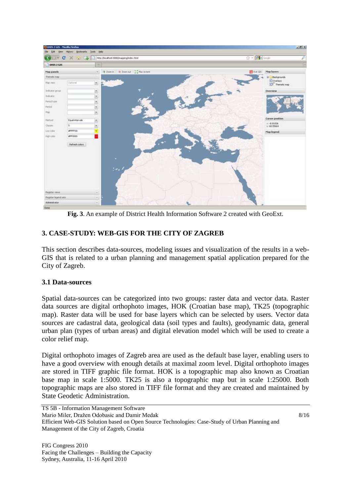

**Fig. 3**. An example of District Health Information Software 2 created with GeoExt.

# **3. CASE-STUDY: WEB-GIS FOR THE CITY OF ZAGREB**

This section describes data-sources, modeling issues and visualization of the results in a web-GIS that is related to a urban planning and management spatial application prepared for the City of Zagreb.

# **3.1 Data-sources**

Spatial data-sources can be categorized into two groups: raster data and vector data. Raster data sources are digital orthophoto images, HOK (Croatian base map), TK25 (topographic map). Raster data will be used for base layers which can be selected by users. Vector data sources are cadastral data, geological data (soil types and faults), geodynamic data, general urban plan (types of urban areas) and digital elevation model which will be used to create a color relief map.

Digital orthophoto images of Zagreb area are used as the default base layer, enabling users to have a good overview with enough details at maximal zoom level. Digital orthophoto images are stored in TIFF graphic file format. HOK is a topographic map also known as Croatian base map in scale 1:5000. TK25 is also a topographic map but in scale 1:25000. Both topographic maps are also stored in TIFF file format and they are created and maintained by State Geodetic Administration.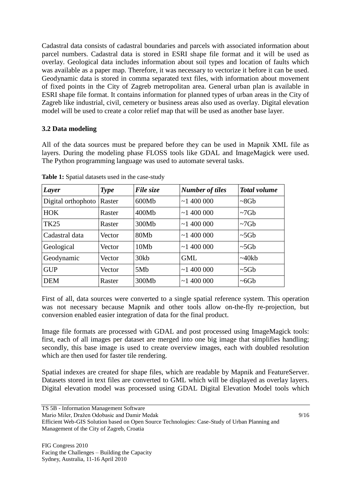Cadastral data consists of cadastral boundaries and parcels with associated information about parcel numbers. Cadastral data is stored in ESRI shape file format and it will be used as overlay. Geological data includes information about soil types and location of faults which was available as a paper map. Therefore, it was necessary to vectorize it before it can be used. Geodynamic data is stored in comma separated text files, with information about movement of fixed points in the City of Zagreb metropolitan area. General urban plan is available in ESRI shape file format. It contains information for planned types of urban areas in the City of Zagreb like industrial, civil, cemetery or business areas also used as overlay. Digital elevation model will be used to create a color relief map that will be used as another base layer.

# **3.2 Data modeling**

All of the data sources must be prepared before they can be used in Mapnik XML file as layers. During the modeling phase FLOSS tools like GDAL and ImageMagick were used. The Python programming language was used to automate several tasks.

| Layer              | <b>Type</b> | File size       | <b>Number of tiles</b> | <b>Total volume</b> |
|--------------------|-------------|-----------------|------------------------|---------------------|
| Digital orthophoto | Raster      | 600Mb           | ~1400000               | $~8$ Gb             |
| <b>HOK</b>         | Raster      | 400Mb           | ~1400000               | $\sim$ 7Gb          |
| <b>TK25</b>        | Raster      | 300Mb           | ~1400000               | $\sim$ 7Gb          |
| Cadastral data     | Vector      | 80Mb            | ~1400000               | $\sim 5 \text{Gb}$  |
| Geological         | Vector      | 10Mb            | ~1400000               | $~5$ Gb             |
| Geodynamic         | Vector      | 30kb            | <b>GML</b>             | ~140kb              |
| <b>GUP</b>         | Vector      | 5M <sub>b</sub> | ~1400000               | $~5$ Gb             |
| <b>DEM</b>         | Raster      | 300Mb           | ~1400000               | ~100                |

**Table 1:** Spatial datasets used in the case-study

First of all, data sources were converted to a single spatial reference system. This operation was not necessary because Mapnik and other tools allow on-the-fly re-projection, but conversion enabled easier integration of data for the final product.

Image file formats are processed with GDAL and post processed using ImageMagick tools: first, each of all images per dataset are merged into one big image that simplifies handling; secondly, this base image is used to create overview images, each with doubled resolution which are then used for faster tile rendering.

Spatial indexes are created for shape files, which are readable by Mapnik and FeatureServer. Datasets stored in text files are converted to GML which will be displayed as overlay layers. Digital elevation model was processed using GDAL Digital Elevation Model tools which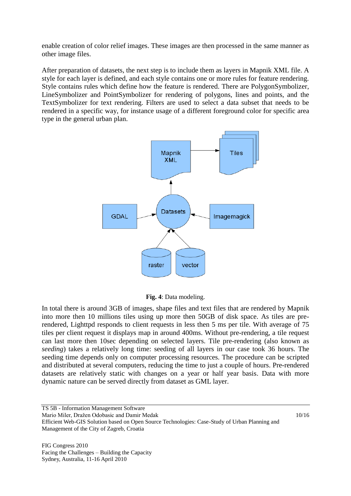enable creation of color relief images. These images are then processed in the same manner as other image files.

After preparation of datasets, the next step is to include them as layers in Mapnik XML file. A style for each layer is defined, and each style contains one or more rules for feature rendering. Style contains rules which define how the feature is rendered. There are PolygonSymbolizer, LineSymbolizer and PointSymbolizer for rendering of polygons, lines and points, and the TextSymbolizer for text rendering. Filters are used to select a data subset that needs to be rendered in a specific way, for instance usage of a different foreground color for specific area type in the general urban plan.



**Fig. 4**: Data modeling.

In total there is around 3GB of images, shape files and text files that are rendered by Mapnik into more then 10 millions tiles using up more then 50GB of disk space. As tiles are prerendered, Lighttpd responds to client requests in less then 5 ms per tile. With average of 75 tiles per client request it displays map in around 400ms. Without pre-rendering, a tile request can last more then 10sec depending on selected layers. Tile pre-rendering (also known as *seeding*) takes a relatively long time: seeding of all layers in our case took 36 hours. The seeding time depends only on computer processing resources. The procedure can be scripted and distributed at several computers, reducing the time to just a couple of hours. Pre-rendered datasets are relatively static with changes on a year or half year basis. Data with more dynamic nature can be served directly from dataset as GML layer.

TS 5B - Information Management Software Mario Miler, Dražen Odobasic and Damir Medak 10/16 Efficient Web-GIS Solution based on Open Source Technologies: Case-Study of Urban Planning and Management of the City of Zagreb, Croatia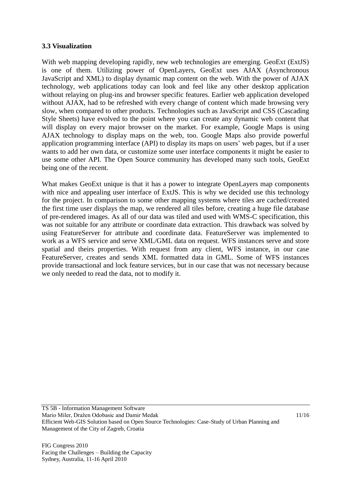### **3.3 Visualization**

With web mapping developing rapidly, new web technologies are emerging. GeoExt (ExtJS) is one of them. Utilizing power of OpenLayers, GeoExt uses AJAX (Asynchronous JavaScript and XML) to display dynamic map content on the web. With the power of AJAX technology, web applications today can look and feel like any other desktop application without relaying on plug-ins and browser specific features. Earlier web application developed without AJAX, had to be refreshed with every change of content which made browsing very slow, when compared to other products. Technologies such as JavaScript and CSS (Cascading Style Sheets) have evolved to the point where you can create any dynamic web content that will display on every major browser on the market. For example, Google Maps is using AJAX technology to display maps on the web, too. Google Maps also provide powerful application programming interface (API) to display its maps on users' web pages, but if a user wants to add her own data, or customize some user interface components it might be easier to use some other API. The Open Source community has developed many such tools, GeoExt being one of the recent.

What makes GeoExt unique is that it has a power to integrate OpenLayers map components with nice and appealing user interface of ExtJS. This is why we decided use this technology for the project. In comparison to some other mapping systems where tiles are cached/created the first time user displays the map, we rendered all tiles before, creating a huge file database of pre-rendered images. As all of our data was tiled and used with WMS-C specification, this was not suitable for any attribute or coordinate data extraction. This drawback was solved by using FeatureServer for attribute and coordinate data. FeatureServer was implemented to work as a WFS service and serve XML/GML data on request. WFS instances serve and store spatial and theirs properties. With request from any client, WFS instance, in our case FeatureServer, creates and sends XML formatted data in GML. Some of WFS instances provide transactional and lock feature services, but in our case that was not necessary because we only needed to read the data, not to modify it.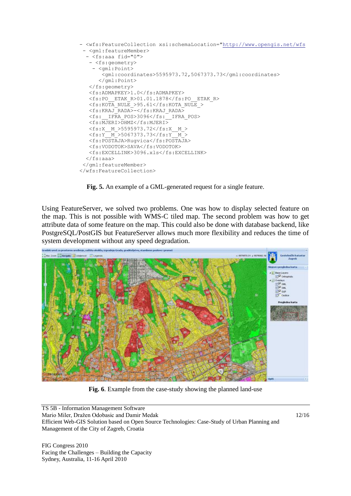

**Fig. 5.** An example of a GML-generated request for a single feature.

Using FeatureServer, we solved two problems. One was how to display selected feature on the map. This is not possible with WMS-C tiled map. The second problem was how to get attribute data of some feature on the map. This could also be done with database backend, like PostgreSQL/PostGIS but FeatureServer allows much more flexibility and reduces the time of system development without any speed degradation.



**Fig. 6**. Example from the case-study showing the planned land-use

TS 5B - Information Management Software Mario Miler, Dražen Odobasic and Damir Medak 12/16 Efficient Web-GIS Solution based on Open Source Technologies: Case-Study of Urban Planning and Management of the City of Zagreb, Croatia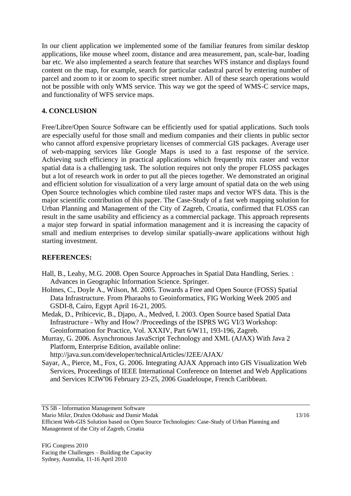In our client application we implemented some of the familiar features from similar desktop applications, like mouse wheel zoom, distance and area measurement, pan, scale-bar, loading bar etc. We also implemented a search feature that searches WFS instance and displays found content on the map, for example, search for particular cadastral parcel by entering number of parcel and zoom to it or zoom to specific street number. All of these search operations would not be possible with only WMS service. This way we got the speed of WMS-C service maps, and functionality of WFS service maps.

# **4. CONCLUSION**

Free/Libre/Open Source Software can be efficiently used for spatial applications. Such tools are especially useful for those small and medium companies and their clients in public sector who cannot afford expensive proprietary licenses of commercial GIS packages. Average user of web-mapping services like Google Maps is used to a fast response of the service. Achieving such efficiency in practical applications which frequently mix raster and vector spatial data is a challenging task. The solution requires not only the proper FLOSS packages but a lot of research work in order to put all the pieces together. We demonstrated an original and efficient solution for visualization of a very large amount of spatial data on the web using Open Source technologies which combine tiled raster maps and vector WFS data. This is the major scientific contribution of this paper. The Case-Study of a fast web mapping solution for Urban Planning and Management of the City of Zagreb, Croatia, confirmed that FLOSS can result in the same usability and efficiency as a commercial package. This approach represents a major step forward in spatial information management and it is increasing the capacity of small and medium enterprises to develop similar spatially-aware applications without high starting investment.

# **REFERENCES:**

- Hall, B., Leahy, M.G. 2008. Open Source Approaches in Spatial Data Handling, Series. : Advances in Geographic Information Science. Springer.
- Holmes, C., Doyle A., Wilson, M. 2005. Towards a Free and Open Source (FOSS) Spatial Data Infrastructure. From Pharaohs to Geoinformatics, FIG Working Week 2005 and GSDI-8, Cairo, Egypt April 16-21, 2005.
- Medak, D., Pribicevic, B., Djapo, A., Medved, I. 2003. Open Source based Spatial Data Infrastructure - Why and How? /Proceedings of the ISPRS WG VI/3 Workshop: Geoinformation for Practice, Vol. XXXIV, Part 6/W11, 193-196, Zagreb.
- Murray, G. 2006. Asynchronous JavaScript Technology and XML (AJAX) With Java 2 Platform, Enterprise Edition, available online:

<http://java.sun.com/developer/technicalArticles/J2EE/AJAX/>

Sayar, A., Pierce, M., Fox, G. 2006. Integrating AJAX Approach into GIS Visualization Web Services, Proceedings of IEEE International Conference on Internet and Web Applications and Services ICIW'06 February 23-25, 2006 Guadeloupe, French Caribbean.

TS 5B - Information Management Software

Mario Miler, Dražen Odobasic and Damir Medak 13/16 Efficient Web-GIS Solution based on Open Source Technologies: Case-Study of Urban Planning and Management of the City of Zagreb, Croatia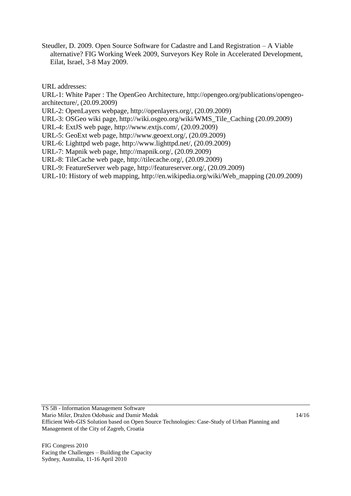Steudler, D. 2009. Open Source Software for Cadastre and Land Registration – A Viable alternative? FIG Working Week 2009, Surveyors Key Role in Accelerated Development, Eilat, Israel, 3-8 May 2009.

URL addresses:

URL-1: White Paper : The OpenGeo Architecture, http://opengeo.org/publications/opengeoarchitecture/, (20.09.2009)

URL-2: OpenLayers webpage, http://openlayers.org/, (20.09.2009)

URL-3: OSGeo wiki page, http://wiki.osgeo.org/wiki/WMS\_Tile\_Caching (20.09.2009)

URL-4: ExtJS web page, http://www.extjs.com/, (20.09.2009)

URL-5: GeoExt web page, http://www.geoext.org/, (20.09.2009)

URL-6: Lighttpd web page, http://www.lighttpd.net/, (20.09.2009)

URL-7: Mapnik web page, http://mapnik.org/, (20.09.2009)

URL-8: TileCache web page, http://tilecache.org/, (20.09.2009)

URL-9: FeatureServer web page, http://featureserver.org/, (20.09.2009)

URL-10: History of web mapping, http://en.wikipedia.org/wiki/Web\_mapping (20.09.2009)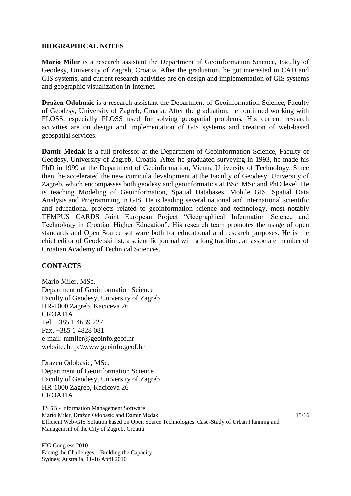### **BIOGRAPHICAL NOTES**

**Mario Miler** is a research assistant the Department of Geoinformation Science, Faculty of Geodesy, University of Zagreb, Croatia. After the graduation, he got interested in CAD and GIS systems, and current research activities are on design and implementation of GIS systems and geographic visualization in Internet.

**Dražen Odobasic** is a research assistant the Department of Geoinformation Science, Faculty of Geodesy, University of Zagreb, Croatia. After the graduation, he continued working with FLOSS, especially FLOSS used for solving geospatial problems. His current research activities are on design and implementation of GIS systems and creation of web-based geospatial services.

**Damir Medak** is a full professor at the Department of Geoinformation Science, Faculty of Geodesy, University of Zagreb, Croatia. After he graduated surveying in 1993, he made his PhD in 1999 at the Department of Geoinformation, Vienna University of Technology. Since then, he accelerated the new curricula development at the Faculty of Geodesy, University of Zagreb, which encompasses both geodesy and geoinformatics at BSc, MSc and PhD level. He is teaching Modeling of Geoinformation, Spatial Databases, Mobile GIS, Spatial Data Analysis and Programming in GIS. He is leading several national and international scientific and educational projects related to geoinformation science and technology, most notably TEMPUS CARDS Joint European Project "Geographical Information Science and Technology in Croatian Higher Education". His research team promotes the usage of open standards and Open Source software both for educational and research purposes. He is the chief editor of Geodetski list, a scientific journal with a long tradition, an associate member of Croatian Academy of Technical Sciences.

# **CONTACTS**

Mario Miler, MSc. Department of Geoinformation Science Faculty of Geodesy, University of Zagreb HR-1000 Zagreb, Kaciceva 26 **CROATIA** Tel. +385 1 4639 227 Fax. +385 1 4828 081 e-mail: mmiler@geoinfo.geof.hr website. http:\\www.geoinfo.geof.hr

Drazen Odobasic, MSc. Department of Geoinformation Science Faculty of Geodesy, University of Zagreb HR-1000 Zagreb, Kaciceva 26 CROATIA